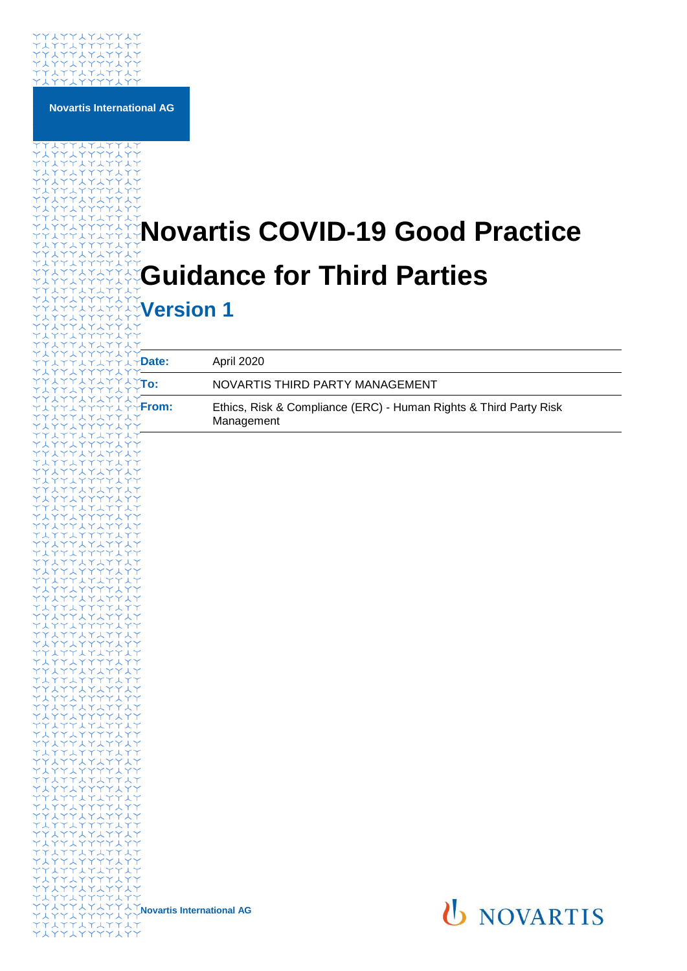

**Novartis International AG**

# **Novartis COVID-19 Good Practice Guidance for Third Parties**

**Version 1**

| YYAYY<br>AYYAY <b>Date:</b><br>YYLYY-               |                                                                 | April 2020                                                                      |
|-----------------------------------------------------|-----------------------------------------------------------------|---------------------------------------------------------------------------------|
| 47747 <b>To:</b>                                    |                                                                 | NOVARTIS THIRD PARTY MANAGEMENT                                                 |
| スイイスイ<br>YYAYYFrom:<br><b>LYYLY</b><br><b>YYYYY</b> |                                                                 | Ethics, Risk & Compliance (ERC) - Human Rights & Third Party Risk<br>Management |
| ハイイスイ<br>YY人YY<br>スイイスイ                             |                                                                 |                                                                                 |
| YYLYY<br>スイイスイ<br>YYYYY                             |                                                                 |                                                                                 |
| スイイスイ<br>YYIYY                                      |                                                                 |                                                                                 |
| しイイスイ<br>YYIYY<br>ハイイスイ                             |                                                                 |                                                                                 |
| YYIYY<br>トイイスイ<br>YYYYY                             |                                                                 |                                                                                 |
| ハイイスイ<br>YYIYY<br>レイイスイ                             |                                                                 |                                                                                 |
| YYLYY<br>スイイスイ                                      |                                                                 |                                                                                 |
| YYLYY<br>トイイスイ<br>Y Y L Y Y                         |                                                                 |                                                                                 |
| しイイスイ<br>YY人YY<br>くイイスイ                             |                                                                 |                                                                                 |
| YYIYY<br>スイイスイ<br>YYYYY                             |                                                                 |                                                                                 |
| くイイスイ<br>YYYYY<br>エイイスイ                             |                                                                 |                                                                                 |
| <b>YYLYY</b><br>ハイイスイ                               |                                                                 |                                                                                 |
| YYYYY<br>スイイスイ<br>YYIYY                             |                                                                 |                                                                                 |
| トイイスイ<br>YYIYY<br><b>LYYLY</b>                      |                                                                 |                                                                                 |
| YYIYY<br>スイイスイ<br>YYYYY                             |                                                                 |                                                                                 |
| しイイスイ<br>YYIYY<br>ハイイスイ                             |                                                                 |                                                                                 |
| YYLYY<br>ハイイスイ                                      |                                                                 |                                                                                 |
| YYYYY<br>スイイスイ<br>YYYYY                             |                                                                 |                                                                                 |
| スイイスイ<br>YYLYY                                      | <sup>人</sup> イイスイ <b>Novartis International AG</b><br>Y Y 人 Y Y |                                                                                 |
| <b>LYYLY</b><br><b>YYLYY</b>                        |                                                                 | <b>U NOVARTIS</b>                                                               |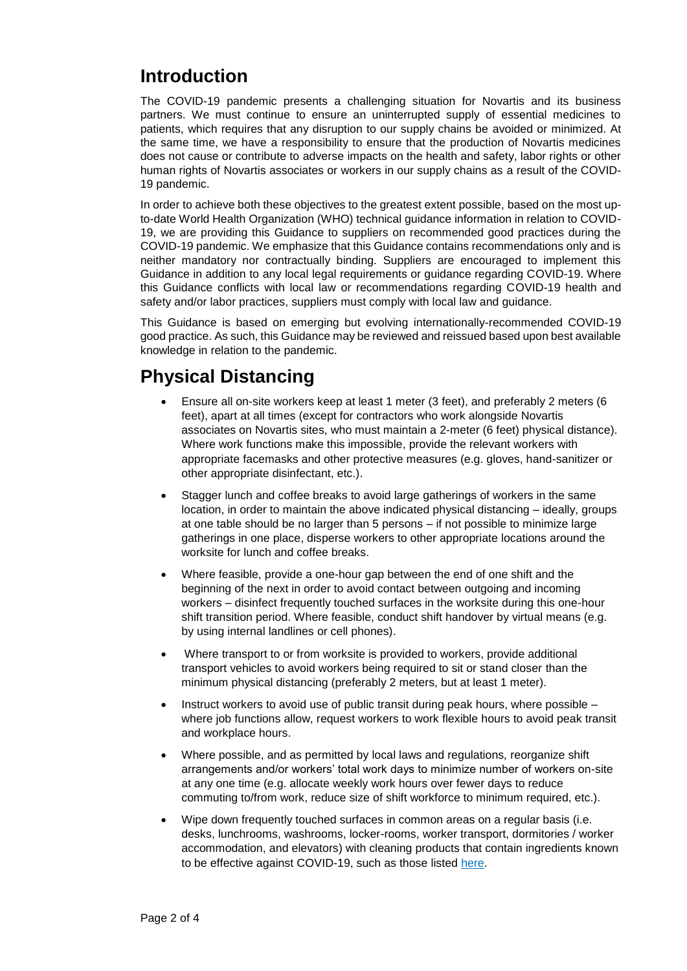## **Introduction**

The COVID-19 pandemic presents a challenging situation for Novartis and its business partners. We must continue to ensure an uninterrupted supply of essential medicines to patients, which requires that any disruption to our supply chains be avoided or minimized. At the same time, we have a responsibility to ensure that the production of Novartis medicines does not cause or contribute to adverse impacts on the health and safety, labor rights or other human rights of Novartis associates or workers in our supply chains as a result of the COVID-19 pandemic.

In order to achieve both these objectives to the greatest extent possible, based on the most upto-date World Health Organization (WHO) technical guidance information in relation to COVID-19, we are providing this Guidance to suppliers on recommended good practices during the COVID-19 pandemic. We emphasize that this Guidance contains recommendations only and is neither mandatory nor contractually binding. Suppliers are encouraged to implement this Guidance in addition to any local legal requirements or guidance regarding COVID-19. Where this Guidance conflicts with local law or recommendations regarding COVID-19 health and safety and/or labor practices, suppliers must comply with local law and guidance.

This Guidance is based on emerging but evolving internationally-recommended COVID-19 good practice. As such, this Guidance may be reviewed and reissued based upon best available knowledge in relation to the pandemic.

# **Physical Distancing**

- Ensure all on-site workers keep at least 1 meter (3 feet), and preferably 2 meters (6 feet), apart at all times (except for contractors who work alongside Novartis associates on Novartis sites, who must maintain a 2-meter (6 feet) physical distance). Where work functions make this impossible, provide the relevant workers with appropriate facemasks and other protective measures (e.g. gloves, hand-sanitizer or other appropriate disinfectant, etc.).
- Stagger lunch and coffee breaks to avoid large gatherings of workers in the same location, in order to maintain the above indicated physical distancing – ideally, groups at one table should be no larger than 5 persons – if not possible to minimize large gatherings in one place, disperse workers to other appropriate locations around the worksite for lunch and coffee breaks.
- Where feasible, provide a one-hour gap between the end of one shift and the beginning of the next in order to avoid contact between outgoing and incoming workers – disinfect frequently touched surfaces in the worksite during this one-hour shift transition period. Where feasible, conduct shift handover by virtual means (e.g. by using internal landlines or cell phones).
- Where transport to or from worksite is provided to workers, provide additional transport vehicles to avoid workers being required to sit or stand closer than the minimum physical distancing (preferably 2 meters, but at least 1 meter).
- $\bullet$  Instruct workers to avoid use of public transit during peak hours, where possible  $$ where job functions allow, request workers to work flexible hours to avoid peak transit and workplace hours.
- Where possible, and as permitted by local laws and regulations*,* reorganize shift arrangements and/or workers' total work days to minimize number of workers on-site at any one time (e.g. allocate weekly work hours over fewer days to reduce commuting to/from work, reduce size of shift workforce to minimum required, etc.).
- Wipe down frequently touched surfaces in common areas on a regular basis (i.e. desks, lunchrooms, washrooms, locker-rooms, worker transport, dormitories / worker accommodation, and elevators) with cleaning products that contain ingredients known to be effective against COVID-19, such as those listed [here.](https://www.epa.gov/pesticide-registration/list-n-disinfectants-use-against-sars-cov-2)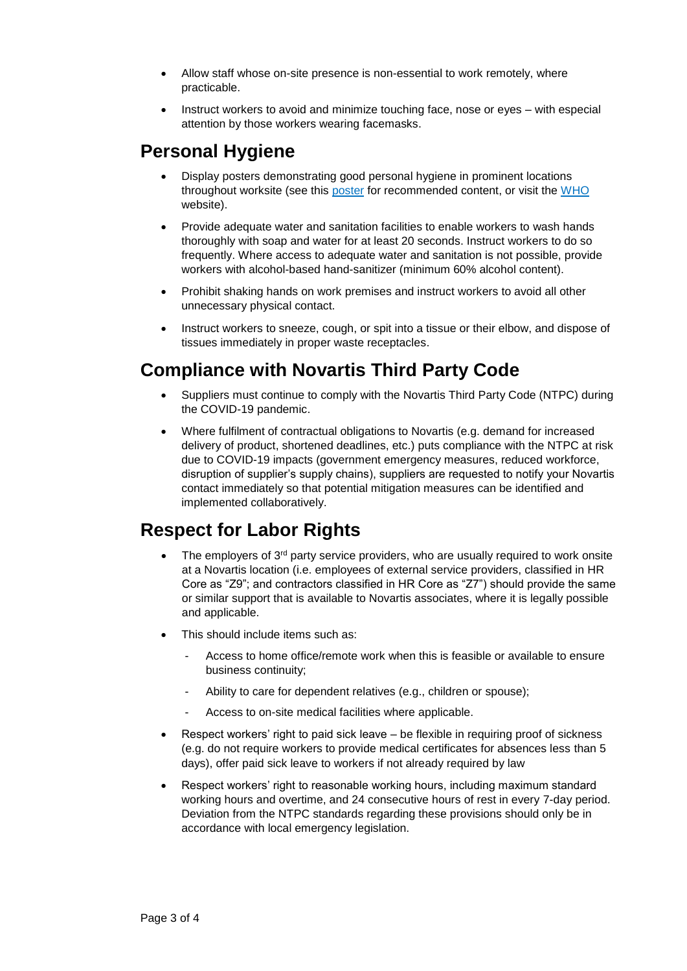- Allow staff whose on-site presence is non-essential to work remotely, where practicable.
- Instruct workers to avoid and minimize touching face, nose or eyes with especial attention by those workers wearing facemasks.

#### **Personal Hygiene**

- Display posters demonstrating good personal hygiene in prominent locations throughout worksite (see this [poster](https://ethz.ch/content/dam/ethz/associates/services/Service/sicherheit-gesundheit-umwelt/images/poster_new_coronavirus_protect_yourself_and_others.pdf) for recommended content, or visit the [WHO](https://www.who.int/) website).
- Provide adequate water and sanitation facilities to enable workers to [wash hands](https://www.unicef.org/laos/stories/everything-you-need-know-about-washing-your-hands-protect-against-coronavirus-covid-19)  [thoroughly](https://www.unicef.org/laos/stories/everything-you-need-know-about-washing-your-hands-protect-against-coronavirus-covid-19) with soap and water for at least 20 seconds. Instruct workers to do so frequently. Where access to adequate water and sanitation is not possible, provide workers with alcohol-based hand-sanitizer (minimum 60% alcohol content).
- Prohibit shaking hands on work premises and instruct workers to avoid all other unnecessary physical contact.
- Instruct workers to sneeze, cough, or spit into a tissue or their elbow, and dispose of tissues immediately in proper waste receptacles.

## **Compliance with Novartis Third Party Code**

- Suppliers must continue to comply with the Novartis Third Party Code (NTPC) during the COVID-19 pandemic.
- Where fulfilment of contractual obligations to Novartis (e.g. demand for increased delivery of product, shortened deadlines, etc.) puts compliance with the NTPC at risk due to COVID-19 impacts (government emergency measures, reduced workforce, disruption of supplier's supply chains), suppliers are requested to notify your Novartis contact immediately so that potential mitigation measures can be identified and implemented collaboratively.

## **Respect for Labor Rights**

- The employers of 3<sup>rd</sup> party service providers, who are usually required to work onsite at a Novartis location (i.e. employees of external service providers, classified in HR Core as "Z9"; and contractors classified in HR Core as "Z7") should provide the same or similar support that is available to Novartis associates, where it is legally possible and applicable.
- This should include items such as:
	- Access to home office/remote work when this is feasible or available to ensure business continuity;
	- Ability to care for dependent relatives (e.g., children or spouse);
	- Access to on-site medical facilities where applicable.
- Respect workers' right to paid sick leave be flexible in requiring proof of sickness (e.g. do not require workers to provide medical certificates for absences less than 5 days), offer paid sick leave to workers if not already required by law
- Respect workers' right to reasonable working hours, including maximum standard working hours and overtime, and 24 consecutive hours of rest in every 7-day period. Deviation from the NTPC standards regarding these provisions should only be in accordance with local emergency legislation.